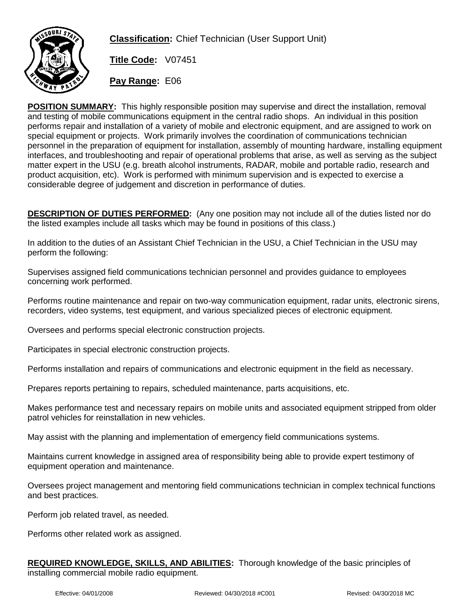

**Classification:** Chief Technician (User Support Unit)

**Title Code:** V07451

**Pay Range:** E06

**POSITION SUMMARY:** This highly responsible position may supervise and direct the installation, removal and testing of mobile communications equipment in the central radio shops. An individual in this position performs repair and installation of a variety of mobile and electronic equipment, and are assigned to work on special equipment or projects. Work primarily involves the coordination of communications technician personnel in the preparation of equipment for installation, assembly of mounting hardware, installing equipment interfaces, and troubleshooting and repair of operational problems that arise, as well as serving as the subject matter expert in the USU (e.g. breath alcohol instruments, RADAR, mobile and portable radio, research and product acquisition, etc). Work is performed with minimum supervision and is expected to exercise a considerable degree of judgement and discretion in performance of duties.

**DESCRIPTION OF DUTIES PERFORMED:** (Any one position may not include all of the duties listed nor do the listed examples include all tasks which may be found in positions of this class.)

In addition to the duties of an Assistant Chief Technician in the USU, a Chief Technician in the USU may perform the following:

Supervises assigned field communications technician personnel and provides guidance to employees concerning work performed.

Performs routine maintenance and repair on two-way communication equipment, radar units, electronic sirens, recorders, video systems, test equipment, and various specialized pieces of electronic equipment.

Oversees and performs special electronic construction projects.

Participates in special electronic construction projects.

Performs installation and repairs of communications and electronic equipment in the field as necessary.

Prepares reports pertaining to repairs, scheduled maintenance, parts acquisitions, etc.

Makes performance test and necessary repairs on mobile units and associated equipment stripped from older patrol vehicles for reinstallation in new vehicles.

May assist with the planning and implementation of emergency field communications systems.

Maintains current knowledge in assigned area of responsibility being able to provide expert testimony of equipment operation and maintenance.

Oversees project management and mentoring field communications technician in complex technical functions and best practices.

Perform job related travel, as needed.

Performs other related work as assigned.

**REQUIRED KNOWLEDGE, SKILLS, AND ABILITIES:** Thorough knowledge of the basic principles of installing commercial mobile radio equipment.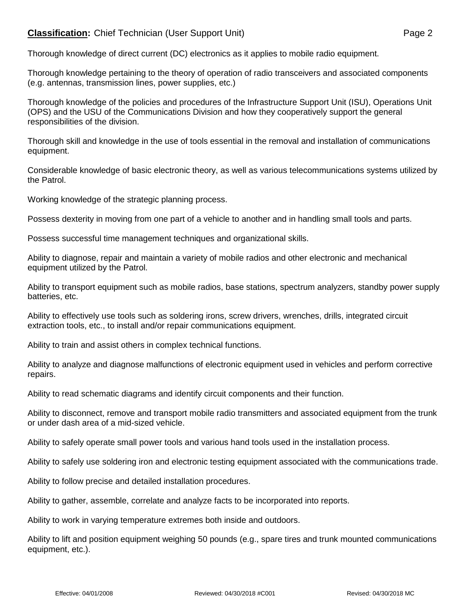## **Classification:** Chief Technician (User Support Unit) **Page 2** Page 2

Thorough knowledge of direct current (DC) electronics as it applies to mobile radio equipment.

Thorough knowledge pertaining to the theory of operation of radio transceivers and associated components (e.g. antennas, transmission lines, power supplies, etc.)

Thorough knowledge of the policies and procedures of the Infrastructure Support Unit (ISU), Operations Unit (OPS) and the USU of the Communications Division and how they cooperatively support the general responsibilities of the division.

Thorough skill and knowledge in the use of tools essential in the removal and installation of communications equipment.

Considerable knowledge of basic electronic theory, as well as various telecommunications systems utilized by the Patrol.

Working knowledge of the strategic planning process.

Possess dexterity in moving from one part of a vehicle to another and in handling small tools and parts.

Possess successful time management techniques and organizational skills.

Ability to diagnose, repair and maintain a variety of mobile radios and other electronic and mechanical equipment utilized by the Patrol.

Ability to transport equipment such as mobile radios, base stations, spectrum analyzers, standby power supply batteries, etc.

Ability to effectively use tools such as soldering irons, screw drivers, wrenches, drills, integrated circuit extraction tools, etc., to install and/or repair communications equipment.

Ability to train and assist others in complex technical functions.

Ability to analyze and diagnose malfunctions of electronic equipment used in vehicles and perform corrective repairs.

Ability to read schematic diagrams and identify circuit components and their function.

Ability to disconnect, remove and transport mobile radio transmitters and associated equipment from the trunk or under dash area of a mid-sized vehicle.

Ability to safely operate small power tools and various hand tools used in the installation process.

Ability to safely use soldering iron and electronic testing equipment associated with the communications trade.

Ability to follow precise and detailed installation procedures.

Ability to gather, assemble, correlate and analyze facts to be incorporated into reports.

Ability to work in varying temperature extremes both inside and outdoors.

Ability to lift and position equipment weighing 50 pounds (e.g., spare tires and trunk mounted communications equipment, etc.).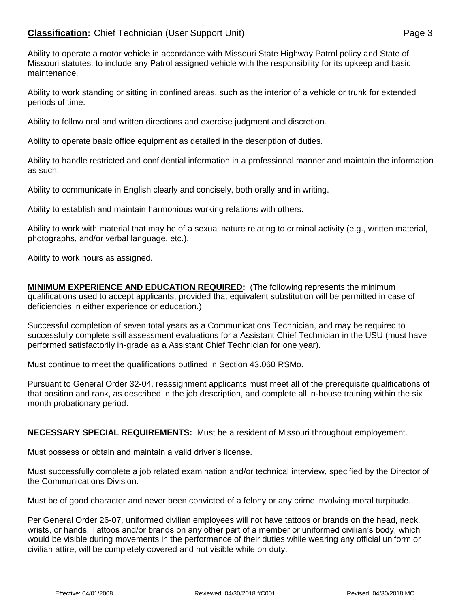## **Classification:** Chief Technician (User Support Unit) **Page 3** Page 3

Ability to operate a motor vehicle in accordance with Missouri State Highway Patrol policy and State of Missouri statutes, to include any Patrol assigned vehicle with the responsibility for its upkeep and basic maintenance.

Ability to work standing or sitting in confined areas, such as the interior of a vehicle or trunk for extended periods of time.

Ability to follow oral and written directions and exercise judgment and discretion.

Ability to operate basic office equipment as detailed in the description of duties.

Ability to handle restricted and confidential information in a professional manner and maintain the information as such.

Ability to communicate in English clearly and concisely, both orally and in writing.

Ability to establish and maintain harmonious working relations with others.

Ability to work with material that may be of a sexual nature relating to criminal activity (e.g., written material, photographs, and/or verbal language, etc.).

Ability to work hours as assigned.

**MINIMUM EXPERIENCE AND EDUCATION REQUIRED:** (The following represents the minimum qualifications used to accept applicants, provided that equivalent substitution will be permitted in case of deficiencies in either experience or education.)

Successful completion of seven total years as a Communications Technician, and may be required to successfully complete skill assessment evaluations for a Assistant Chief Technician in the USU (must have performed satisfactorily in-grade as a Assistant Chief Technician for one year).

Must continue to meet the qualifications outlined in Section 43.060 RSMo.

Pursuant to General Order 32-04, reassignment applicants must meet all of the prerequisite qualifications of that position and rank, as described in the job description, and complete all in-house training within the six month probationary period.

## **NECESSARY SPECIAL REQUIREMENTS:** Must be a resident of Missouri throughout employement.

Must possess or obtain and maintain a valid driver's license.

Must successfully complete a job related examination and/or technical interview, specified by the Director of the Communications Division.

Must be of good character and never been convicted of a felony or any crime involving moral turpitude.

Per General Order 26-07, uniformed civilian employees will not have tattoos or brands on the head, neck, wrists, or hands. Tattoos and/or brands on any other part of a member or uniformed civilian's body, which would be visible during movements in the performance of their duties while wearing any official uniform or civilian attire, will be completely covered and not visible while on duty.